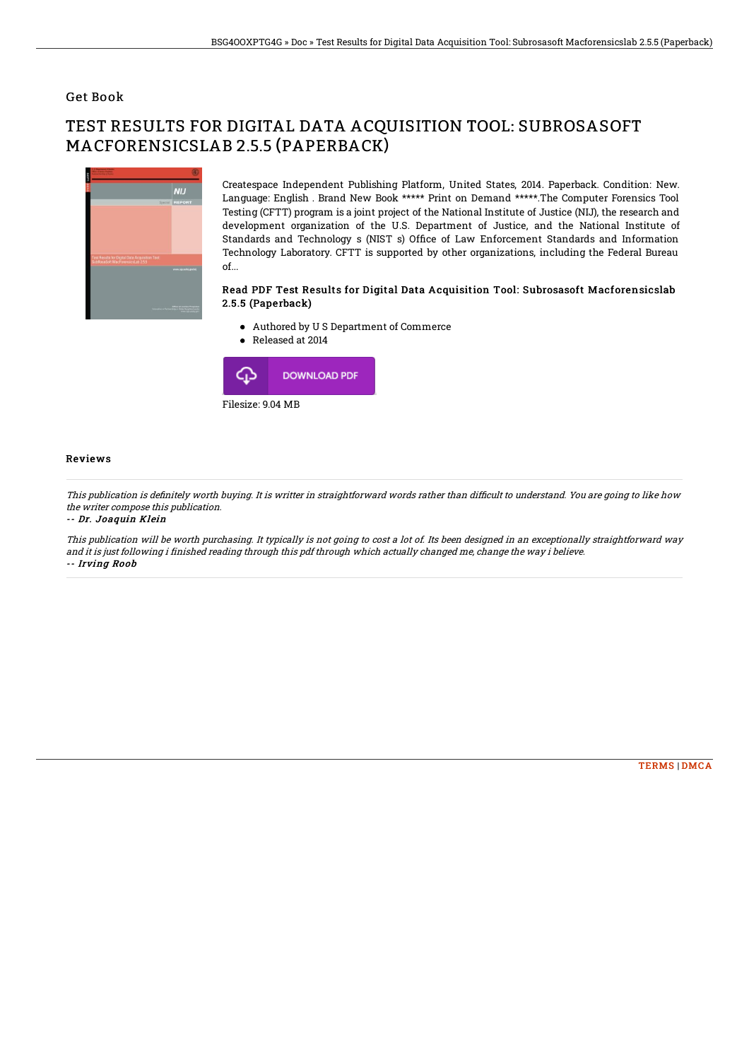### Get Book

# TEST RESULTS FOR DIGITAL DATA ACQUISITION TOOL: SUBROSASOFT MACFORENSICSLAB 2.5.5 (PAPERBACK)



Createspace Independent Publishing Platform, United States, 2014. Paperback. Condition: New. Language: English . Brand New Book \*\*\*\*\* Print on Demand \*\*\*\*\*.The Computer Forensics Tool Testing (CFTT) program is a joint project of the National Institute of Justice (NIJ), the research and development organization of the U.S. Department of Justice, and the National Institute of Standards and Technology s (NIST s) Office of Law Enforcement Standards and Information Technology Laboratory. CFTT is supported by other organizations, including the Federal Bureau of...

#### Read PDF Test Results for Digital Data Acquisition Tool: Subrosasoft Macforensicslab 2.5.5 (Paperback)

- Authored by U S Department of Commerce
- Released at 2014



#### Reviews

This publication is definitely worth buying. It is writter in straightforward words rather than difficult to understand. You are going to like how the writer compose this publication.

-- Dr. Joaquin Klein

This publication will be worth purchasing. It typically is not going to cost <sup>a</sup> lot of. Its been designed in an exceptionally straightforward way and it is just following i finished reading through this pdf through which actually changed me, change the way i believe. -- Irving Roob